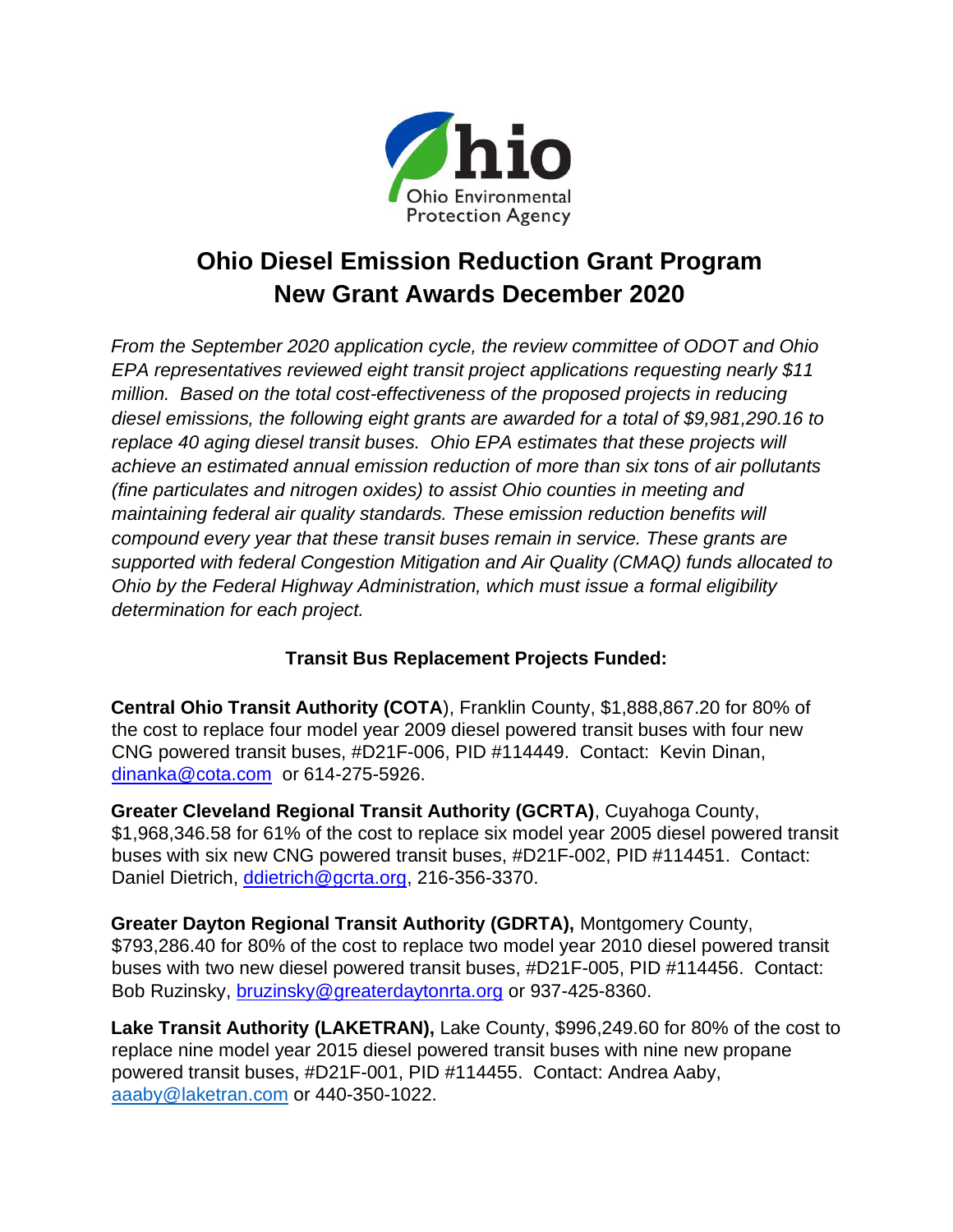

## **Ohio Diesel Emission Reduction Grant Program New Grant Awards December 2020**

*From the September 2020 application cycle, the review committee of ODOT and Ohio EPA representatives reviewed eight transit project applications requesting nearly \$11 million. Based on the total cost-effectiveness of the proposed projects in reducing diesel emissions, the following eight grants are awarded for a total of \$9,981,290.16 to replace 40 aging diesel transit buses. Ohio EPA estimates that these projects will achieve an estimated annual emission reduction of more than six tons of air pollutants (fine particulates and nitrogen oxides) to assist Ohio counties in meeting and maintaining federal air quality standards. These emission reduction benefits will compound every year that these transit buses remain in service. These grants are supported with federal Congestion Mitigation and Air Quality (CMAQ) funds allocated to Ohio by the Federal Highway Administration, which must issue a formal eligibility determination for each project.* 

## **Transit Bus Replacement Projects Funded:**

**Central Ohio Transit Authority (COTA**), Franklin County, \$1,888,867.20 for 80% of the cost to replace four model year 2009 diesel powered transit buses with four new CNG powered transit buses, #D21F-006, PID #114449. Contact: Kevin Dinan, [dinanka@cota.com](mailto:dinanka@cota.com) or 614-275-5926.

**Greater Cleveland Regional Transit Authority (GCRTA)**, Cuyahoga County, \$1,968,346.58 for 61% of the cost to replace six model year 2005 diesel powered transit buses with six new CNG powered transit buses, #D21F-002, PID #114451. Contact: Daniel Dietrich, [ddietrich@gcrta.org,](mailto:ddietrich@gcrta.org) 216-356-3370.

**Greater Dayton Regional Transit Authority (GDRTA),** Montgomery County, \$793,286.40 for 80% of the cost to replace two model year 2010 diesel powered transit buses with two new diesel powered transit buses, #D21F-005, PID #114456. Contact: Bob Ruzinsky, [bruzinsky@greaterdaytonrta.org](mailto:bruzinsky@greaterdaytonrta.org) or 937-425-8360.

**Lake Transit Authority (LAKETRAN),** Lake County, \$996,249.60 for 80% of the cost to replace nine model year 2015 diesel powered transit buses with nine new propane powered transit buses, #D21F-001, PID #114455. Contact: Andrea Aaby, [aaaby@laketran.com](mailto:aaaby@laketran.com) or 440-350-1022.